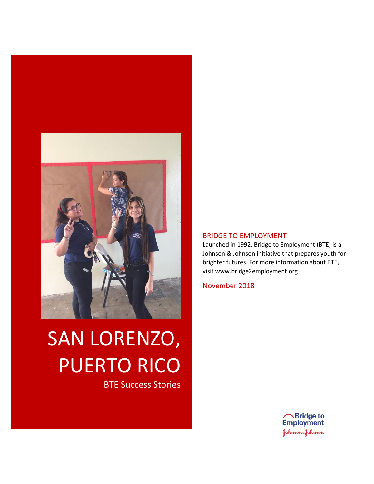

# SAN LORENZO, PUERTO RICO

BTE Success Stories

#### BRIDGE TO EMPLOYMENT

Launched in 1992, Bridge to Employment (BTE) is a Johnson & Johnson initiative that prepares youth for brighter futures. For more information about BTE, visit www.bridge2employment.org

November 2018

**A**Bridge to<br>Employment Johnson-Johnson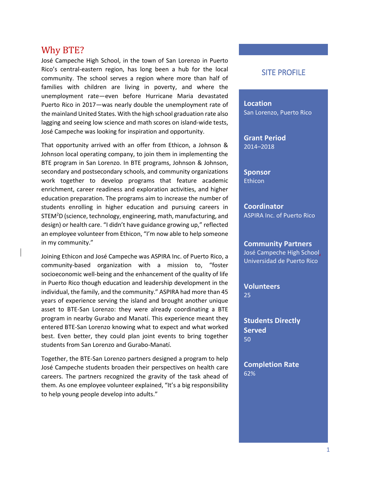## Why BTE?

José Campeche High School, in the town of San Lorenzo in Puerto Rico's central-eastern region, has long been a hub for the local community. The school serves a region where more than half of families with children are living in poverty, and where the unemployment rate—even before Hurricane Maria devastated Puerto Rico in 2017—was nearly double the unemployment rate of the mainland United States. With the high school graduation rate also lagging and seeing low science and math scores on island-wide tests, José Campeche was looking for inspiration and opportunity.

That opportunity arrived with an offer from Ethicon, a Johnson & Johnson local operating company, to join them in implementing the BTE program in San Lorenzo. In BTE programs, Johnson & Johnson, secondary and postsecondary schools, and community organizations work together to develop programs that feature academic enrichment, career readiness and exploration activities, and higher education preparation. The programs aim to increase the number of students enrolling in higher education and pursuing careers in STEM<sup>2</sup>D (science, technology, engineering, math, manufacturing, and design) or health care. "I didn't have guidance growing up," reflected an employee volunteer from Ethicon, "I'm now able to help someone in my community."

Joining Ethicon and José Campeche was ASPIRA Inc. of Puerto Rico, a community-based organization with a mission to, "foster socioeconomic well-being and the enhancement of the quality of life in Puerto Rico though education and leadership development in the individual, the family, and the community." ASPIRA had more than 45 years of experience serving the island and brought another unique asset to BTE-San Lorenzo: they were already coordinating a BTE program in nearby Gurabo and Manatí. This experience meant they entered BTE-San Lorenzo knowing what to expect and what worked best. Even better, they could plan joint events to bring together students from San Lorenzo and Gurabo-Manatí.

Together, the BTE-San Lorenzo partners designed a program to help José Campeche students broaden their perspectives on health care careers. The partners recognized the gravity of the task ahead of them. As one employee volunteer explained, "It's a big responsibility to help young people develop into adults."

#### SITE PROFILE

**Location** San Lorenzo, Puerto Rico

**Grant Period** 2014–2018

**Sponsor Ethicon** 

**Coordinator** ASPIRA Inc. of Puerto Rico

**Community Partners**

José Campeche High School, Universidad de Puerto Rico

**Volunteers** 25

**Students Directly Served** 50

**Completion Rate** 62%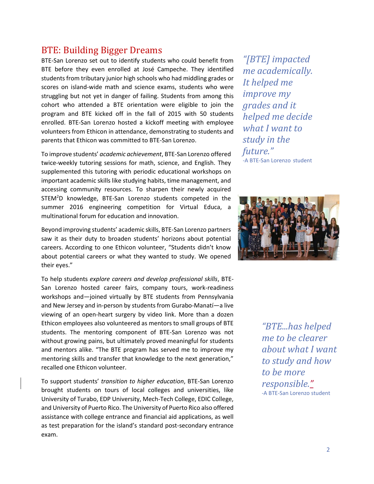## BTE: Building Bigger Dreams

BTE-San Lorenzo set out to identify students who could benefit from BTE before they even enrolled at José Campeche. They identified students from tributary junior high schools who had middling grades or scores on island-wide math and science exams, students who were struggling but not yet in danger of failing. Students from among this cohort who attended a BTE orientation were eligible to join the program and BTE kicked off in the fall of 2015 with 50 students enrolled. BTE-San Lorenzo hosted a kickoff meeting with employee volunteers from Ethicon in attendance, demonstrating to students and parents that Ethicon was committed to BTE-San Lorenzo.

To improve students' *academic achievement*, BTE-San Lorenzo offered twice-weekly tutoring sessions for math, science, and English. They supplemented this tutoring with periodic educational workshops on important academic skills like studying habits, time management, and accessing community resources. To sharpen their newly acquired STEM<sup>2</sup>D knowledge, BTE-San Lorenzo students competed in the summer 2016 engineering competition for Virtual Educa, a multinational forum for education and innovation.

Beyond improving students' academic skills, BTE-San Lorenzo partners saw it as their duty to broaden students' horizons about potential careers. According to one Ethicon volunteer, "Students didn't know about potential careers or what they wanted to study. We opened their eyes."

To help students *explore careers and develop professional skills*, BTE-San Lorenzo hosted career fairs, company tours, work-readiness workshops and—joined virtually by BTE students from Pennsylvania and New Jersey and in-person by students from Gurabo-Manatí—a live viewing of an open-heart surgery by video link. More than a dozen Ethicon employees also volunteered as mentors to small groups of BTE students. The mentoring component of BTE-San Lorenzo was not without growing pains, but ultimately proved meaningful for students and mentors alike. "The BTE program has served me to improve my mentoring skills and transfer that knowledge to the next generation," recalled one Ethicon volunteer.

To support students' *transition to higher education*, BTE-San Lorenzo brought students on tours of local colleges and universities, like University of Turabo, EDP University, Mech-Tech College, EDIC College, and University of Puerto Rico. The University of Puerto Rico also offered assistance with college entrance and financial aid applications, as well as test preparation for the island's standard post-secondary entrance exam.

*"[BTE] impacted me academically. It helped me improve my grades and it helped me decide what I want to study in the future."* -A BTE-San Lorenzo student



*"BTE...has helped me to be clearer about what I want to study and how to be more responsible."* -A BTE-San Lorenzo student